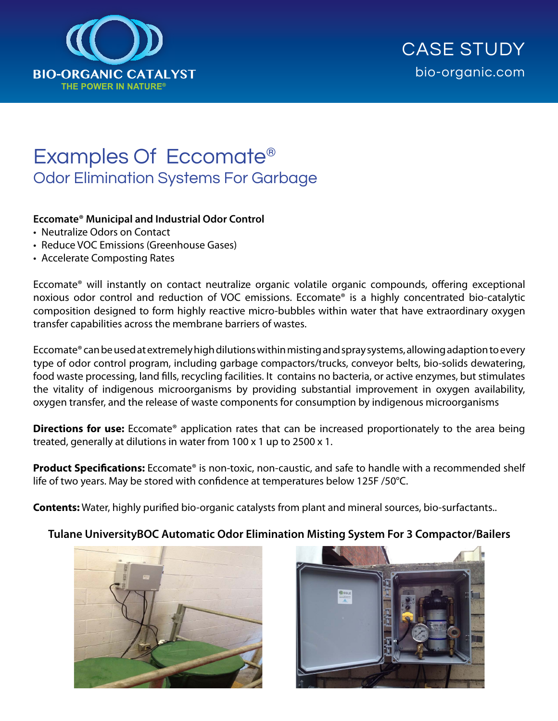

# Examples Of Eccomate® Odor Elimination Systems For Garbage

#### **Eccomate® Municipal and Industrial Odor Control**

- Neutralize Odors on Contact
- Reduce VOC Emissions (Greenhouse Gases)
- Accelerate Composting Rates

Eccomate® will instantly on contact neutralize organic volatile organic compounds, offering exceptional noxious odor control and reduction of VOC emissions. Eccomate® is a highly concentrated bio-catalytic composition designed to form highly reactive micro-bubbles within water that have extraordinary oxygen transfer capabilities across the membrane barriers of wastes.

Eccomate® can be used at extremely high dilutions within misting and spray systems, allowing adaption to every type of odor control program, including garbage compactors/trucks, conveyor belts, bio-solids dewatering, food waste processing, land fills, recycling facilities. It contains no bacteria, or active enzymes, but stimulates the vitality of indigenous microorganisms by providing substantial improvement in oxygen availability, oxygen transfer, and the release of waste components for consumption by indigenous microorganisms

**Directions for use:** Eccomate<sup>®</sup> application rates that can be increased proportionately to the area being treated, generally at dilutions in water from 100 x 1 up to 2500 x 1.

**Product Specifications:** Eccomate<sup>®</sup> is non-toxic, non-caustic, and safe to handle with a recommended shelf life of two years. May be stored with confidence at temperatures below 125F /50°C.

**Contents:** Water, highly purified bio-organic catalysts from plant and mineral sources, bio-surfactants..

#### **Tulane UniversityBOC Automatic Odor Elimination Misting System For 3 Compactor/Bailers**



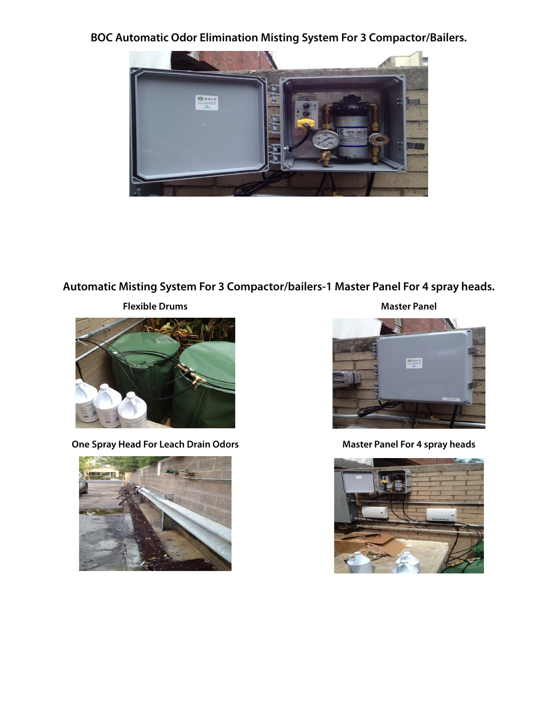**BOC Automatic Odor Elimination Misting System For 3 Compactor/Bailers.**



## **Automatic Misting System For 3 Compactor/bailers-1 Master Panel For 4 spray heads.**



**One Spray Head For Leach Drain Odors Master Panel For 4 spray heads** 



**Flexible Drums Master Panel**



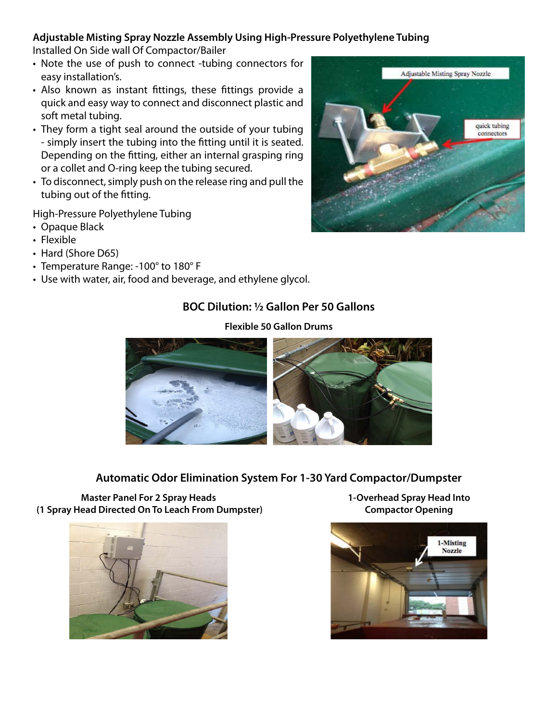#### **Adjustable Misting Spray Nozzle Assembly Using High-Pressure Polyethylene Tubing**

Installed On Side wall Of Compactor/Bailer

- Note the use of push to connect -tubing connectors for easy installation's.
- Also known as instant fittings, these fittings provide a quick and easy way to connect and disconnect plastic and soft metal tubing.
- They form a tight seal around the outside of your tubing - simply insert the tubing into the fitting until it is seated. Depending on the fitting, either an internal grasping ring or a collet and O-ring keep the tubing secured.
- To disconnect, simply push on the release ring and pull the tubing out of the fitting.

High-Pressure Polyethylene Tubing

- Opaque Black
- Flexible
- Hard (Shore D65)
- Temperature Range: -100° to 180° F
- Use with water, air, food and beverage, and ethylene glycol.

### **BOC Dilution: ½ Gallon Per 50 Gallons**

#### **Automatic Odor Elimination System For 1-30 Yard Compactor/Dumpster**



**Master Panel For 2 Spray Heads** 

**1-Overhead Spray Head Into Compactor Opening**





#### **Flexible 50 Gallon Drums**